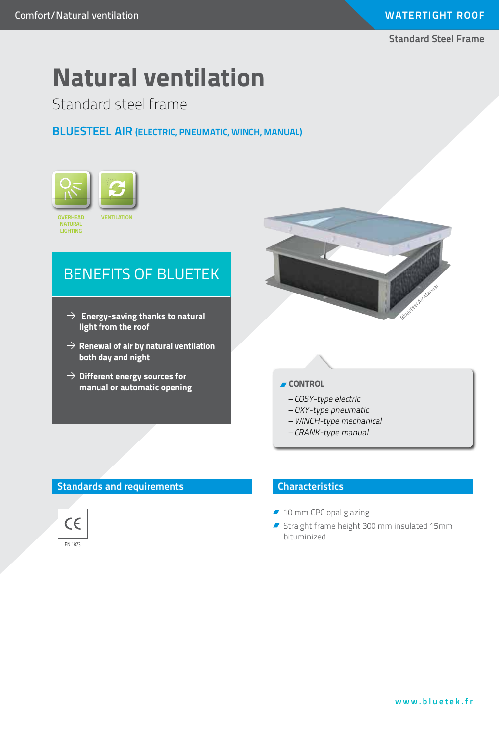#### **Standard Steel Frame**

# **Natural ventilation**

Standard steel frame

# **Bluesteel AIR (ELECTRIC, PNEUMATIC, WINCH, MANUAL)**



# BENEFITS OF BLUETEK

- $\rightarrow$  Energy-saving thanks to natural **light from the roof**
- $\rightarrow$  Renewal of air by natural ventilation **both day and night**
- $\rightarrow$  Different energy sources for **manual or automatic opening**



## **CONTROL**

- COSY-type electric
- OXY-type pneumatic
- WINCH-type mechanical
- CRANK-type manual

# **Standards and requirements**



## **Characteristics**

- 10 mm CPC opal glazing
- Straight frame height 300 mm insulated 15mm bituminized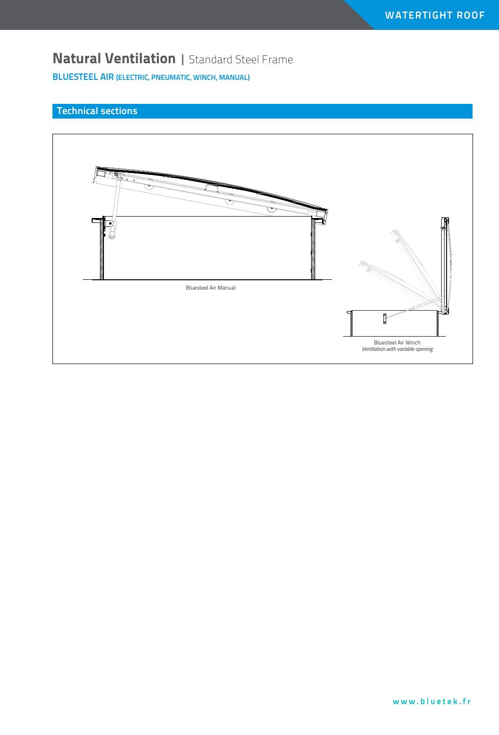# **Natural Ventilation** | Standard Steel Frame

**BluesteEL AIR (ELECTRIC, PNEUMATIC, WINCH, MANUAL)**

# **Technical sections**